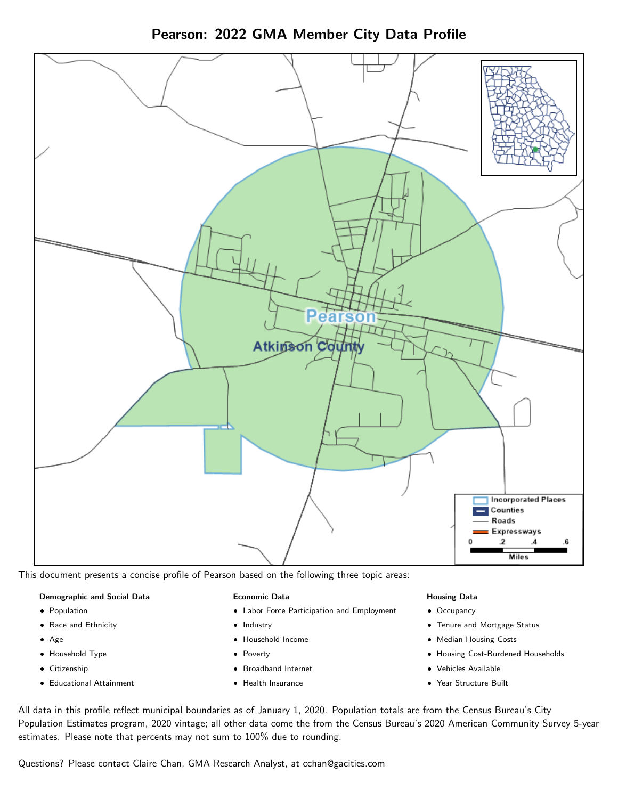



This document presents a concise profile of Pearson based on the following three topic areas:

#### Demographic and Social Data

- **•** Population
- Race and Ethnicity
- Age
- Household Type
- **Citizenship**
- Educational Attainment

#### Economic Data

- Labor Force Participation and Employment
- Industry
- Household Income
- Poverty
- Broadband Internet
- Health Insurance

#### Housing Data

- Occupancy
- Tenure and Mortgage Status
- Median Housing Costs
- Housing Cost-Burdened Households
- Vehicles Available
- $\bullet$ Year Structure Built

All data in this profile reflect municipal boundaries as of January 1, 2020. Population totals are from the Census Bureau's City Population Estimates program, 2020 vintage; all other data come the from the Census Bureau's 2020 American Community Survey 5-year estimates. Please note that percents may not sum to 100% due to rounding.

Questions? Please contact Claire Chan, GMA Research Analyst, at [cchan@gacities.com.](mailto:cchan@gacities.com)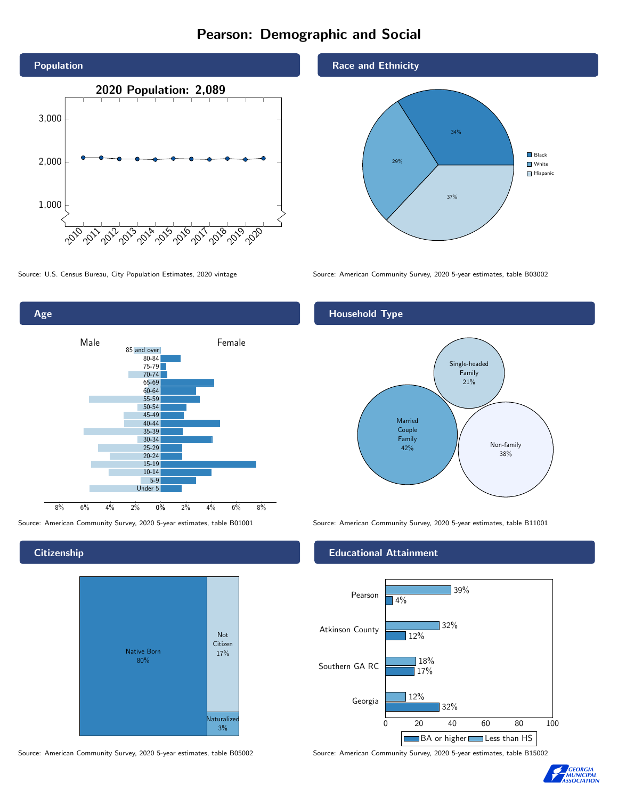# Pearson: Demographic and Social

![](_page_1_Figure_1.jpeg)

![](_page_1_Figure_3.jpeg)

**Citizenship** 

![](_page_1_Figure_6.jpeg)

Source: American Community Survey, 2020 5-year estimates, table B05002 Source: American Community Survey, 2020 5-year estimates, table B15002

Race and Ethnicity

![](_page_1_Figure_9.jpeg)

Source: U.S. Census Bureau, City Population Estimates, 2020 vintage Source: American Community Survey, 2020 5-year estimates, table B03002

#### Household Type

![](_page_1_Figure_12.jpeg)

Source: American Community Survey, 2020 5-year estimates, table B01001 Source: American Community Survey, 2020 5-year estimates, table B11001

#### Educational Attainment

![](_page_1_Figure_15.jpeg)

![](_page_1_Picture_17.jpeg)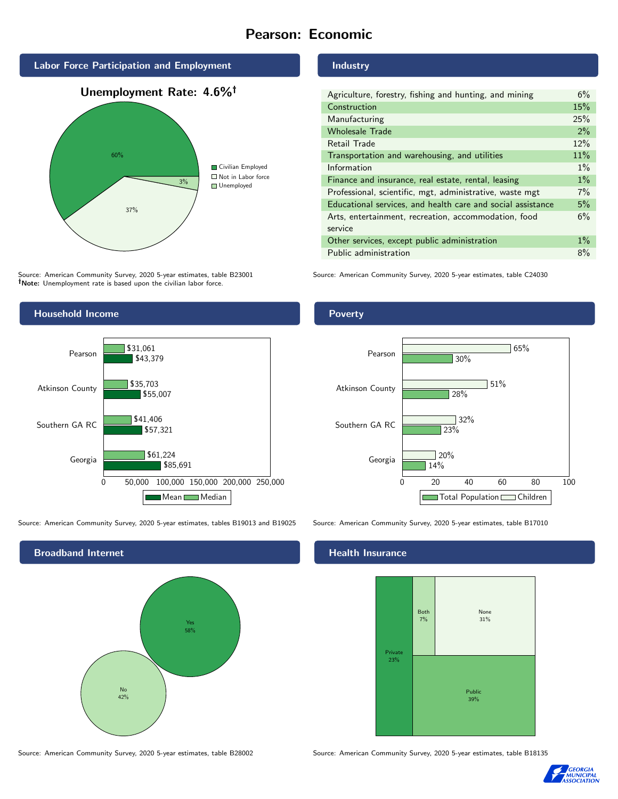# Pearson: Economic

![](_page_2_Figure_1.jpeg)

# 37% 3% Civilian Employed ■ Not in Labor force **Unemployed**

Source: American Community Survey, 2020 5-year estimates, table B23001 Note: Unemployment rate is based upon the civilian labor force.

![](_page_2_Figure_4.jpeg)

Source: American Community Survey, 2020 5-year estimates, tables B19013 and B19025 Source: American Community Survey, 2020 5-year estimates, table B17010

![](_page_2_Figure_6.jpeg)

Industry

| Agriculture, forestry, fishing and hunting, and mining      | 6%    |
|-------------------------------------------------------------|-------|
| Construction                                                | 15%   |
| Manufacturing                                               | 25%   |
| <b>Wholesale Trade</b>                                      | $2\%$ |
| Retail Trade                                                | 12%   |
| Transportation and warehousing, and utilities               | 11%   |
| Information                                                 | $1\%$ |
| Finance and insurance, real estate, rental, leasing         | $1\%$ |
| Professional, scientific, mgt, administrative, waste mgt    | $7\%$ |
| Educational services, and health care and social assistance | 5%    |
| Arts, entertainment, recreation, accommodation, food        | 6%    |
| service                                                     |       |
| Other services, except public administration                | $1\%$ |
| Public administration                                       | 8%    |

Source: American Community Survey, 2020 5-year estimates, table C24030

#### Poverty

![](_page_2_Figure_12.jpeg)

### **Health Insurance**

![](_page_2_Figure_15.jpeg)

Source: American Community Survey, 2020 5-year estimates, table B28002 Source: American Community Survey, 2020 5-year estimates, table B18135

![](_page_2_Picture_17.jpeg)